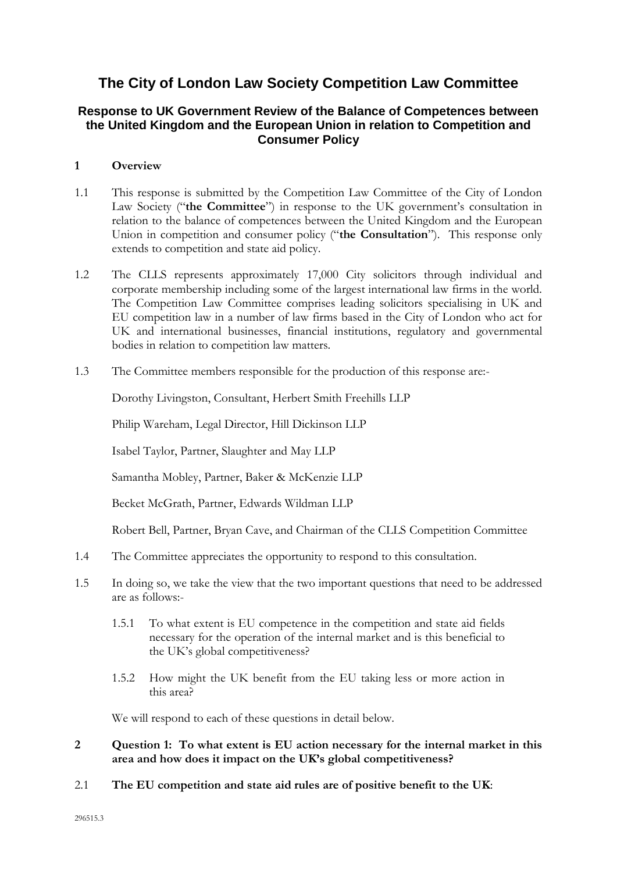# **The City of London Law Society Competition Law Committee**

### **Response to UK Government Review of the Balance of Competences between the United Kingdom and the European Union in relation to Competition and Consumer Policy**

#### **1 Overview**

- 1.1 This response is submitted by the Competition Law Committee of the City of London Law Society ("**the Committee**") in response to the UK government's consultation in relation to the balance of competences between the United Kingdom and the European Union in competition and consumer policy ("**the Consultation**"). This response only extends to competition and state aid policy.
- 1.2 The CLLS represents approximately 17,000 City solicitors through individual and corporate membership including some of the largest international law firms in the world. The Competition Law Committee comprises leading solicitors specialising in UK and EU competition law in a number of law firms based in the City of London who act for UK and international businesses, financial institutions, regulatory and governmental bodies in relation to competition law matters.
- 1.3 The Committee members responsible for the production of this response are:-

Dorothy Livingston, Consultant, Herbert Smith Freehills LLP

Philip Wareham, Legal Director, Hill Dickinson LLP

Isabel Taylor, Partner, Slaughter and May LLP

Samantha Mobley, Partner, Baker & McKenzie LLP

Becket McGrath, Partner, Edwards Wildman LLP

Robert Bell, Partner, Bryan Cave, and Chairman of the CLLS Competition Committee

- 1.4 The Committee appreciates the opportunity to respond to this consultation.
- 1.5 In doing so, we take the view that the two important questions that need to be addressed are as follows:-
	- 1.5.1 To what extent is EU competence in the competition and state aid fields necessary for the operation of the internal market and is this beneficial to the UK's global competitiveness?
	- 1.5.2 How might the UK benefit from the EU taking less or more action in this area?

We will respond to each of these questions in detail below.

- **2 Question 1: To what extent is EU action necessary for the internal market in this area and how does it impact on the UK's global competitiveness?**
- 2.1 **The EU competition and state aid rules are of positive benefit to the UK**: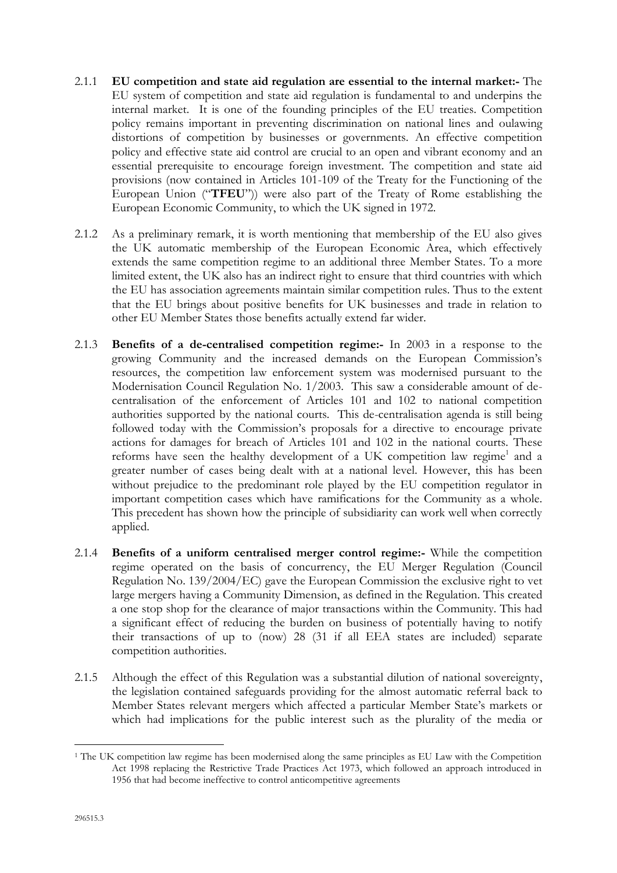- 2.1.1 **EU competition and state aid regulation are essential to the internal market:-** The EU system of competition and state aid regulation is fundamental to and underpins the internal market. It is one of the founding principles of the EU treaties. Competition policy remains important in preventing discrimination on national lines and oulawing distortions of competition by businesses or governments. An effective competition policy and effective state aid control are crucial to an open and vibrant economy and an essential prerequisite to encourage foreign investment. The competition and state aid provisions (now contained in Articles 101-109 of the Treaty for the Functioning of the European Union ("**TFEU**")) were also part of the Treaty of Rome establishing the European Economic Community, to which the UK signed in 1972.
- 2.1.2 As a preliminary remark, it is worth mentioning that membership of the EU also gives the UK automatic membership of the European Economic Area, which effectively extends the same competition regime to an additional three Member States. To a more limited extent, the UK also has an indirect right to ensure that third countries with which the EU has association agreements maintain similar competition rules. Thus to the extent that the EU brings about positive benefits for UK businesses and trade in relation to other EU Member States those benefits actually extend far wider.
- 2.1.3 **Benefits of a de-centralised competition regime:-** In 2003 in a response to the growing Community and the increased demands on the European Commission's resources, the competition law enforcement system was modernised pursuant to the Modernisation Council Regulation No. 1/2003. This saw a considerable amount of decentralisation of the enforcement of Articles 101 and 102 to national competition authorities supported by the national courts. This de-centralisation agenda is still being followed today with the Commission's proposals for a directive to encourage private actions for damages for breach of Articles 101 and 102 in the national courts. These reforms have seen the healthy development of a UK competition law regime<sup>1</sup> and a greater number of cases being dealt with at a national level. However, this has been without prejudice to the predominant role played by the EU competition regulator in important competition cases which have ramifications for the Community as a whole. This precedent has shown how the principle of subsidiarity can work well when correctly applied.
- 2.1.4 **Benefits of a uniform centralised merger control regime:-** While the competition regime operated on the basis of concurrency, the EU Merger Regulation (Council Regulation No. 139/2004/EC) gave the European Commission the exclusive right to vet large mergers having a Community Dimension, as defined in the Regulation. This created a one stop shop for the clearance of major transactions within the Community. This had a significant effect of reducing the burden on business of potentially having to notify their transactions of up to (now) 28 (31 if all EEA states are included) separate competition authorities.
- 2.1.5 Although the effect of this Regulation was a substantial dilution of national sovereignty, the legislation contained safeguards providing for the almost automatic referral back to Member States relevant mergers which affected a particular Member State's markets or which had implications for the public interest such as the plurality of the media or

-

<sup>1</sup> The UK competition law regime has been modernised along the same principles as EU Law with the Competition Act 1998 replacing the Restrictive Trade Practices Act 1973, which followed an approach introduced in 1956 that had become ineffective to control anticompetitive agreements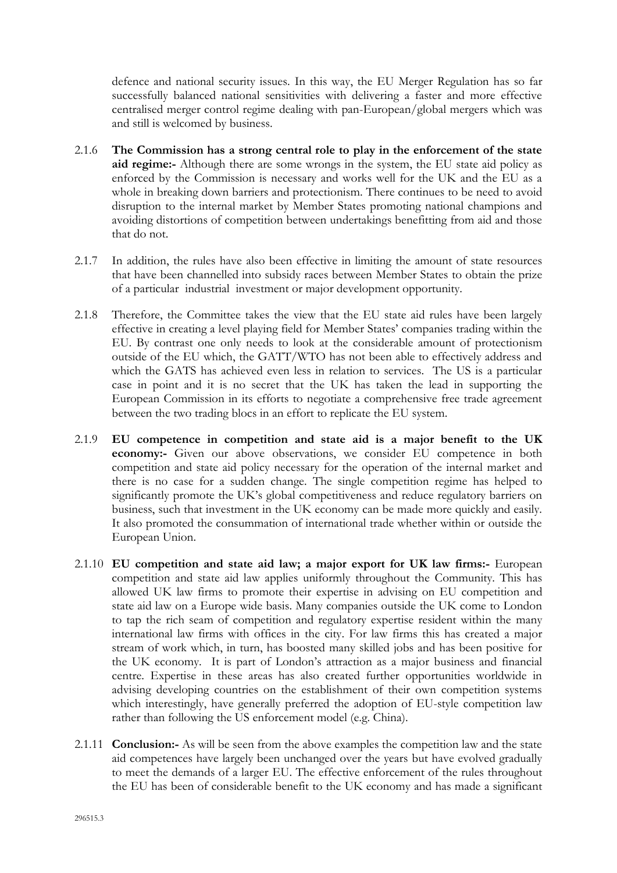defence and national security issues. In this way, the EU Merger Regulation has so far successfully balanced national sensitivities with delivering a faster and more effective centralised merger control regime dealing with pan-European/global mergers which was and still is welcomed by business.

- 2.1.6 **The Commission has a strong central role to play in the enforcement of the state aid regime:-** Although there are some wrongs in the system, the EU state aid policy as enforced by the Commission is necessary and works well for the UK and the EU as a whole in breaking down barriers and protectionism. There continues to be need to avoid disruption to the internal market by Member States promoting national champions and avoiding distortions of competition between undertakings benefitting from aid and those that do not.
- 2.1.7 In addition, the rules have also been effective in limiting the amount of state resources that have been channelled into subsidy races between Member States to obtain the prize of a particular industrial investment or major development opportunity.
- 2.1.8 Therefore, the Committee takes the view that the EU state aid rules have been largely effective in creating a level playing field for Member States' companies trading within the EU. By contrast one only needs to look at the considerable amount of protectionism outside of the EU which, the GATT/WTO has not been able to effectively address and which the GATS has achieved even less in relation to services. The US is a particular case in point and it is no secret that the UK has taken the lead in supporting the European Commission in its efforts to negotiate a comprehensive free trade agreement between the two trading blocs in an effort to replicate the EU system.
- 2.1.9 **EU competence in competition and state aid is a major benefit to the UK economy:-** Given our above observations, we consider EU competence in both competition and state aid policy necessary for the operation of the internal market and there is no case for a sudden change. The single competition regime has helped to significantly promote the UK's global competitiveness and reduce regulatory barriers on business, such that investment in the UK economy can be made more quickly and easily. It also promoted the consummation of international trade whether within or outside the European Union.
- 2.1.10 **EU competition and state aid law; a major export for UK law firms:-** European competition and state aid law applies uniformly throughout the Community. This has allowed UK law firms to promote their expertise in advising on EU competition and state aid law on a Europe wide basis. Many companies outside the UK come to London to tap the rich seam of competition and regulatory expertise resident within the many international law firms with offices in the city. For law firms this has created a major stream of work which, in turn, has boosted many skilled jobs and has been positive for the UK economy. It is part of London's attraction as a major business and financial centre. Expertise in these areas has also created further opportunities worldwide in advising developing countries on the establishment of their own competition systems which interestingly, have generally preferred the adoption of EU-style competition law rather than following the US enforcement model (e.g. China).
- 2.1.11 **Conclusion:-** As will be seen from the above examples the competition law and the state aid competences have largely been unchanged over the years but have evolved gradually to meet the demands of a larger EU. The effective enforcement of the rules throughout the EU has been of considerable benefit to the UK economy and has made a significant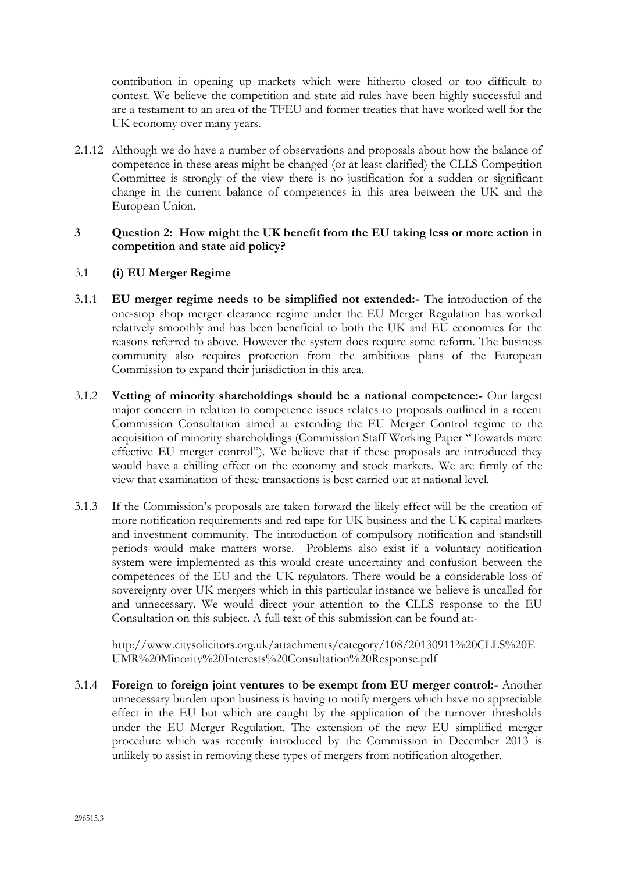contribution in opening up markets which were hitherto closed or too difficult to contest. We believe the competition and state aid rules have been highly successful and are a testament to an area of the TFEU and former treaties that have worked well for the UK economy over many years.

2.1.12 Although we do have a number of observations and proposals about how the balance of competence in these areas might be changed (or at least clarified) the CLLS Competition Committee is strongly of the view there is no justification for a sudden or significant change in the current balance of competences in this area between the UK and the European Union.

#### **3 Question 2: How might the UK benefit from the EU taking less or more action in competition and state aid policy?**

#### 3.1 **(i) EU Merger Regime**

- 3.1.1 **EU merger regime needs to be simplified not extended:-** The introduction of the one-stop shop merger clearance regime under the EU Merger Regulation has worked relatively smoothly and has been beneficial to both the UK and EU economies for the reasons referred to above. However the system does require some reform. The business community also requires protection from the ambitious plans of the European Commission to expand their jurisdiction in this area.
- 3.1.2 **Vetting of minority shareholdings should be a national competence:-** Our largest major concern in relation to competence issues relates to proposals outlined in a recent Commission Consultation aimed at extending the EU Merger Control regime to the acquisition of minority shareholdings (Commission Staff Working Paper "Towards more effective EU merger control"). We believe that if these proposals are introduced they would have a chilling effect on the economy and stock markets. We are firmly of the view that examination of these transactions is best carried out at national level.
- 3.1.3 If the Commission's proposals are taken forward the likely effect will be the creation of more notification requirements and red tape for UK business and the UK capital markets and investment community. The introduction of compulsory notification and standstill periods would make matters worse. Problems also exist if a voluntary notification system were implemented as this would create uncertainty and confusion between the competences of the EU and the UK regulators. There would be a considerable loss of sovereignty over UK mergers which in this particular instance we believe is uncalled for and unnecessary. We would direct your attention to the CLLS response to the EU Consultation on this subject. A full text of this submission can be found at:-

http://www.citysolicitors.org.uk/attachments/category/108/20130911%20CLLS%20E UMR%20Minority%20Interests%20Consultation%20Response.pdf

3.1.4 **Foreign to foreign joint ventures to be exempt from EU merger control:-** Another unnecessary burden upon business is having to notify mergers which have no appreciable effect in the EU but which are caught by the application of the turnover thresholds under the EU Merger Regulation. The extension of the new EU simplified merger procedure which was recently introduced by the Commission in December 2013 is unlikely to assist in removing these types of mergers from notification altogether.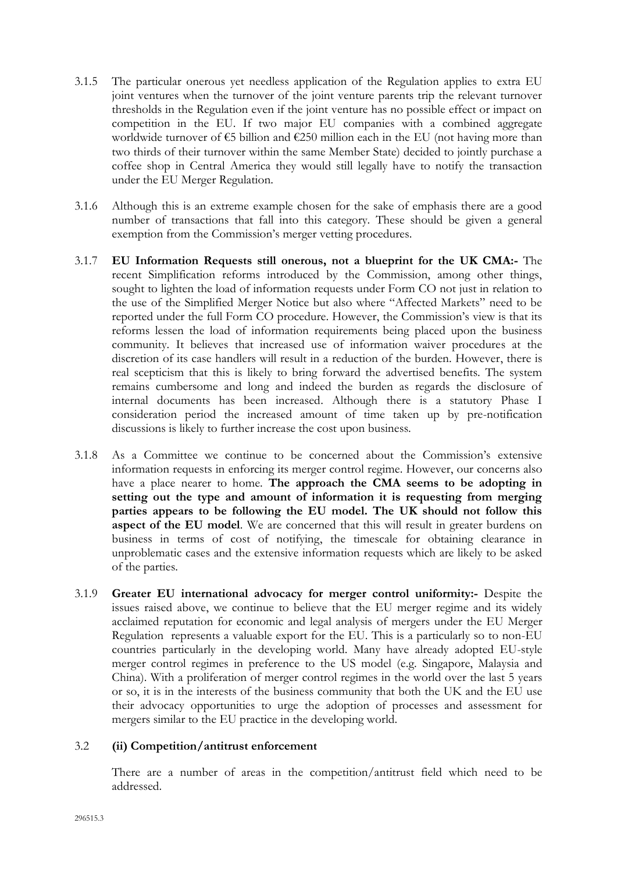- 3.1.5 The particular onerous yet needless application of the Regulation applies to extra EU joint ventures when the turnover of the joint venture parents trip the relevant turnover thresholds in the Regulation even if the joint venture has no possible effect or impact on competition in the EU. If two major EU companies with a combined aggregate worldwide turnover of €5 billion and €250 million each in the EU (not having more than two thirds of their turnover within the same Member State) decided to jointly purchase a coffee shop in Central America they would still legally have to notify the transaction under the EU Merger Regulation.
- 3.1.6 Although this is an extreme example chosen for the sake of emphasis there are a good number of transactions that fall into this category. These should be given a general exemption from the Commission's merger vetting procedures.
- 3.1.7 **EU Information Requests still onerous, not a blueprint for the UK CMA:-** The recent Simplification reforms introduced by the Commission, among other things, sought to lighten the load of information requests under Form CO not just in relation to the use of the Simplified Merger Notice but also where "Affected Markets" need to be reported under the full Form CO procedure. However, the Commission's view is that its reforms lessen the load of information requirements being placed upon the business community. It believes that increased use of information waiver procedures at the discretion of its case handlers will result in a reduction of the burden. However, there is real scepticism that this is likely to bring forward the advertised benefits. The system remains cumbersome and long and indeed the burden as regards the disclosure of internal documents has been increased. Although there is a statutory Phase I consideration period the increased amount of time taken up by pre-notification discussions is likely to further increase the cost upon business.
- 3.1.8 As a Committee we continue to be concerned about the Commission's extensive information requests in enforcing its merger control regime. However, our concerns also have a place nearer to home. **The approach the CMA seems to be adopting in setting out the type and amount of information it is requesting from merging parties appears to be following the EU model. The UK should not follow this aspect of the EU model**. We are concerned that this will result in greater burdens on business in terms of cost of notifying, the timescale for obtaining clearance in unproblematic cases and the extensive information requests which are likely to be asked of the parties.
- 3.1.9 **Greater EU international advocacy for merger control uniformity:-** Despite the issues raised above, we continue to believe that the EU merger regime and its widely acclaimed reputation for economic and legal analysis of mergers under the EU Merger Regulation represents a valuable export for the EU. This is a particularly so to non-EU countries particularly in the developing world. Many have already adopted EU-style merger control regimes in preference to the US model (e.g. Singapore, Malaysia and China). With a proliferation of merger control regimes in the world over the last 5 years or so, it is in the interests of the business community that both the UK and the EU use their advocacy opportunities to urge the adoption of processes and assessment for mergers similar to the EU practice in the developing world.

#### 3.2 **(ii) Competition/antitrust enforcement**

There are a number of areas in the competition/antitrust field which need to be addressed.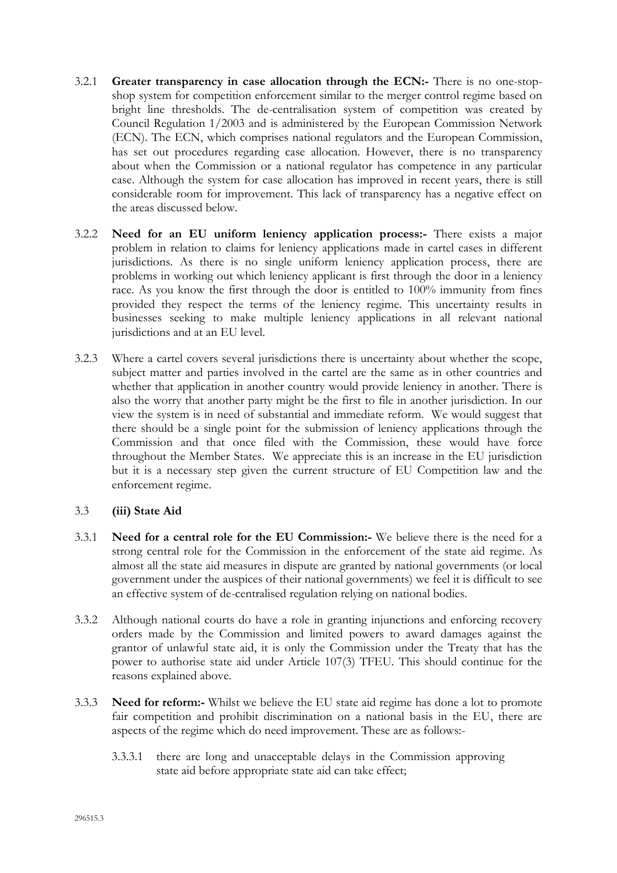- 3.2.1 **Greater transparency in case allocation through the ECN:-** There is no one-stopshop system for competition enforcement similar to the merger control regime based on bright line thresholds. The de-centralisation system of competition was created by Council Regulation 1/2003 and is administered by the European Commission Network (ECN). The ECN, which comprises national regulators and the European Commission, has set out procedures regarding case allocation. However, there is no transparency about when the Commission or a national regulator has competence in any particular case. Although the system for case allocation has improved in recent years, there is still considerable room for improvement. This lack of transparency has a negative effect on the areas discussed below.
- 3.2.2 **Need for an EU uniform leniency application process:-** There exists a major problem in relation to claims for leniency applications made in cartel cases in different jurisdictions. As there is no single uniform leniency application process, there are problems in working out which leniency applicant is first through the door in a leniency race. As you know the first through the door is entitled to 100% immunity from fines provided they respect the terms of the leniency regime. This uncertainty results in businesses seeking to make multiple leniency applications in all relevant national jurisdictions and at an EU level.
- 3.2.3 Where a cartel covers several jurisdictions there is uncertainty about whether the scope, subject matter and parties involved in the cartel are the same as in other countries and whether that application in another country would provide leniency in another. There is also the worry that another party might be the first to file in another jurisdiction. In our view the system is in need of substantial and immediate reform. We would suggest that there should be a single point for the submission of leniency applications through the Commission and that once filed with the Commission, these would have force throughout the Member States. We appreciate this is an increase in the EU jurisdiction but it is a necessary step given the current structure of EU Competition law and the enforcement regime.

#### 3.3 **(iii) State Aid**

- 3.3.1 **Need for a central role for the EU Commission:-** We believe there is the need for a strong central role for the Commission in the enforcement of the state aid regime. As almost all the state aid measures in dispute are granted by national governments (or local government under the auspices of their national governments) we feel it is difficult to see an effective system of de-centralised regulation relying on national bodies.
- 3.3.2 Although national courts do have a role in granting injunctions and enforcing recovery orders made by the Commission and limited powers to award damages against the grantor of unlawful state aid, it is only the Commission under the Treaty that has the power to authorise state aid under Article 107(3) TFEU. This should continue for the reasons explained above.
- 3.3.3 **Need for reform:-** Whilst we believe the EU state aid regime has done a lot to promote fair competition and prohibit discrimination on a national basis in the EU, there are aspects of the regime which do need improvement. These are as follows:-
	- 3.3.3.1 there are long and unacceptable delays in the Commission approving state aid before appropriate state aid can take effect;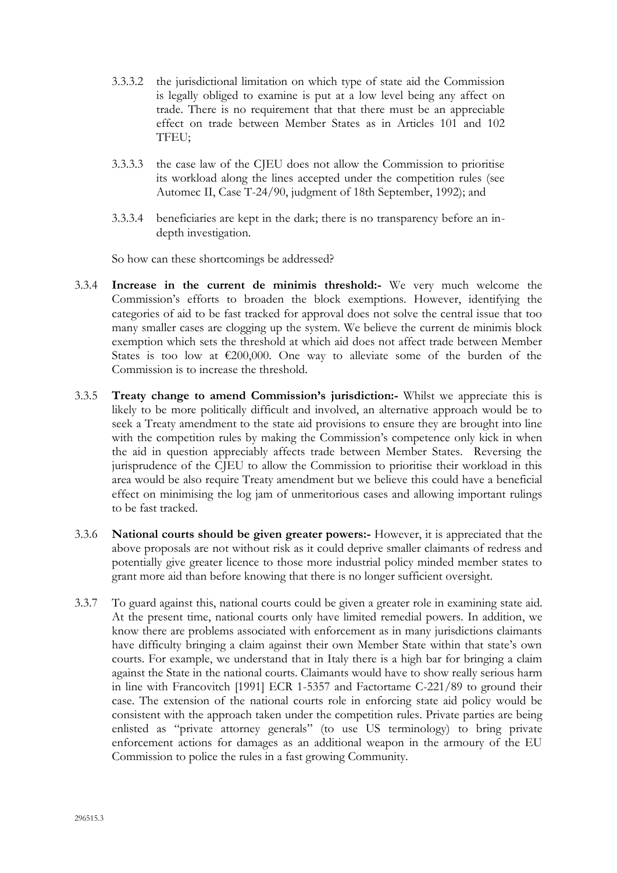- 3.3.3.2 the jurisdictional limitation on which type of state aid the Commission is legally obliged to examine is put at a low level being any affect on trade. There is no requirement that that there must be an appreciable effect on trade between Member States as in Articles 101 and 102 TFEU;
- 3.3.3.3 the case law of the CJEU does not allow the Commission to prioritise its workload along the lines accepted under the competition rules (see Automec II, Case T-24/90, judgment of 18th September, 1992); and
- 3.3.3.4 beneficiaries are kept in the dark; there is no transparency before an indepth investigation.

So how can these shortcomings be addressed?

- 3.3.4 **Increase in the current de minimis threshold:-** We very much welcome the Commission's efforts to broaden the block exemptions. However, identifying the categories of aid to be fast tracked for approval does not solve the central issue that too many smaller cases are clogging up the system. We believe the current de minimis block exemption which sets the threshold at which aid does not affect trade between Member States is too low at  $\epsilon$ 200,000. One way to alleviate some of the burden of the Commission is to increase the threshold.
- 3.3.5 **Treaty change to amend Commission's jurisdiction:-** Whilst we appreciate this is likely to be more politically difficult and involved, an alternative approach would be to seek a Treaty amendment to the state aid provisions to ensure they are brought into line with the competition rules by making the Commission's competence only kick in when the aid in question appreciably affects trade between Member States. Reversing the jurisprudence of the CJEU to allow the Commission to prioritise their workload in this area would be also require Treaty amendment but we believe this could have a beneficial effect on minimising the log jam of unmeritorious cases and allowing important rulings to be fast tracked.
- 3.3.6 **National courts should be given greater powers:-** However, it is appreciated that the above proposals are not without risk as it could deprive smaller claimants of redress and potentially give greater licence to those more industrial policy minded member states to grant more aid than before knowing that there is no longer sufficient oversight.
- 3.3.7 To guard against this, national courts could be given a greater role in examining state aid. At the present time, national courts only have limited remedial powers. In addition, we know there are problems associated with enforcement as in many jurisdictions claimants have difficulty bringing a claim against their own Member State within that state's own courts. For example, we understand that in Italy there is a high bar for bringing a claim against the State in the national courts. Claimants would have to show really serious harm in line with Francovitch [1991] ECR 1-5357 and Factortame C-221/89 to ground their case. The extension of the national courts role in enforcing state aid policy would be consistent with the approach taken under the competition rules. Private parties are being enlisted as "private attorney generals" (to use US terminology) to bring private enforcement actions for damages as an additional weapon in the armoury of the EU Commission to police the rules in a fast growing Community.